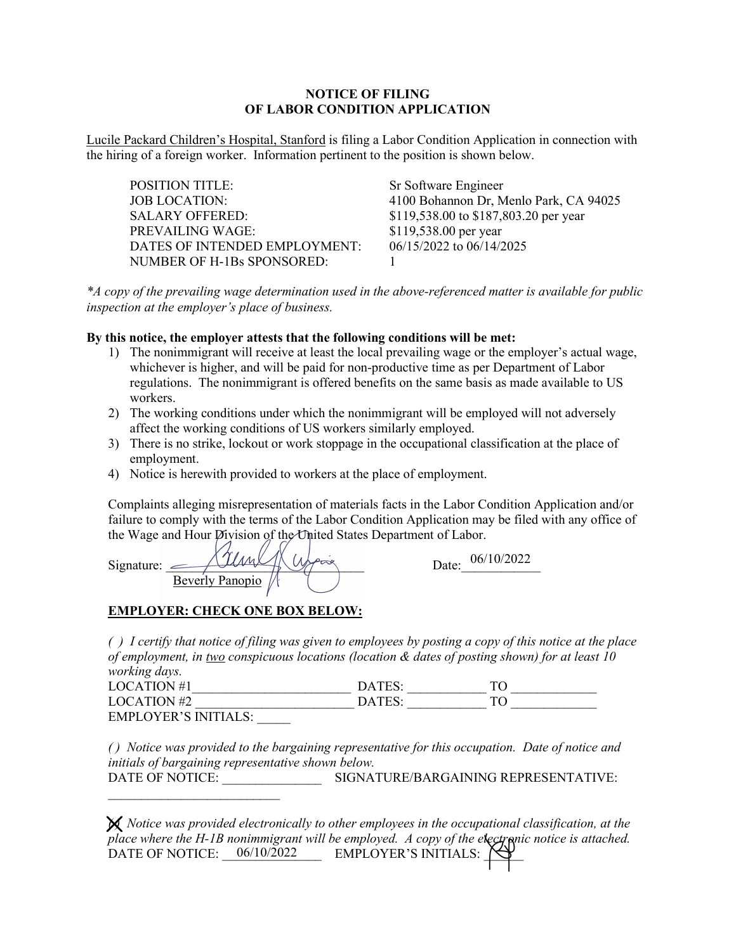## **NOTICE OF FILING OF LABOR CONDITION APPLICATION**

Lucile Packard Children's Hospital, Stanford is filing a Labor Condition Application in connection with the hiring of a foreign worker. Information pertinent to the position is shown below.

| <b>POSITION TITLE:</b>        | Sr Software Engineer                   |
|-------------------------------|----------------------------------------|
| <b>JOB LOCATION:</b>          | 4100 Bohannon Dr, Menlo Park, CA 94025 |
| <b>SALARY OFFERED:</b>        | \$119,538.00 to \$187,803.20 per year  |
| PREVAILING WAGE:              | \$119,538.00 per year                  |
| DATES OF INTENDED EMPLOYMENT: | 06/15/2022 to 06/14/2025               |
| NUMBER OF H-1Bs SPONSORED:    |                                        |

*\*A copy of the prevailing wage determination used in the above-referenced matter is available for public inspection at the employer's place of business.*

## **By this notice, the employer attests that the following conditions will be met:**

- 1) The nonimmigrant will receive at least the local prevailing wage or the employer's actual wage, whichever is higher, and will be paid for non-productive time as per Department of Labor regulations. The nonimmigrant is offered benefits on the same basis as made available to US workers.
- 2) The working conditions under which the nonimmigrant will be employed will not adversely affect the working conditions of US workers similarly employed.
- 3) There is no strike, lockout or work stoppage in the occupational classification at the place of employment.
- 4) Notice is herewith provided to workers at the place of employment.

Complaints alleging misrepresentation of materials facts in the Labor Condition Application and/or failure to comply with the terms of the Labor Condition Application may be filed with any office of the Wage and Hour Division of the United States Department of Labor.

 $Signature: \_\_ \_\_ \_\_ \_\_ \_\_ \_\_ \_\_ \_\_ \_\_ \_\_ \_\_ \_ \_ \_ 06/10/2022$ Beverly Panopio

## **EMPLOYER: CHECK ONE BOX BELOW:**

 $\mathcal{L}_\text{max}$  , where  $\mathcal{L}_\text{max}$  and  $\mathcal{L}_\text{max}$ 

*( ) I certify that notice of filing was given to employees by posting a copy of this notice at the place of employment, in two conspicuous locations (location & dates of posting shown) for at least 10 working days.* 

| LOCATION $#1$            | $\mathbf{DATT}$   |  |
|--------------------------|-------------------|--|
| LOCATION #2              | $\mathbf{A}$ TFS. |  |
| $FMPI$ over 's initial s |                   |  |

*( ) Notice was provided to the bargaining representative for this occupation. Date of notice and initials of bargaining representative shown below.*  DATE OF NOTICE: SIGNATURE/BARGAINING REPRESENTATIVE:

*<sup>( )</sup> Notice was provided electronically to other employees in the occupational classification, at the place where the H-1B nonimmigrant will be employed. A copy of the electronic notice is attached.*<br> **PATE OF NOTICE 06/10/2022** DATE OF NOTICE:  $06/10/2022$  EMPLOYER'S INITIALS:  $\sum$